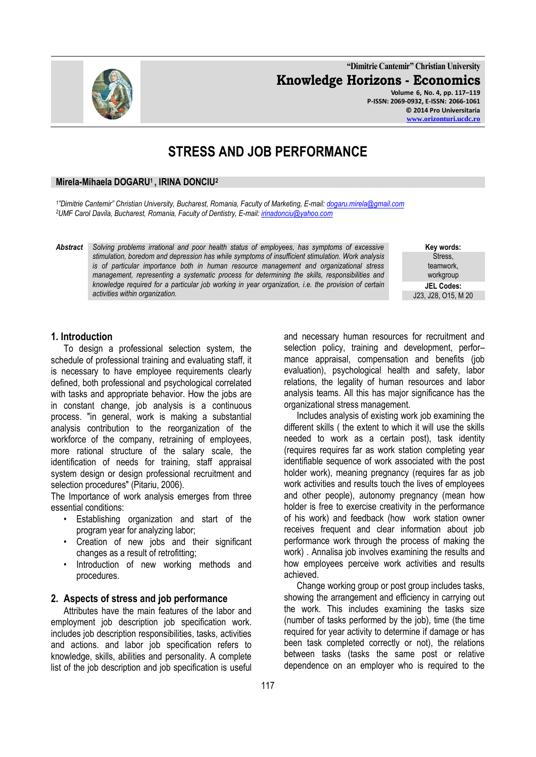**"Dimitrie Cantemir" Christian University Knowledge Horizons - Economics Volume 6, No. 4, pp. 117–119 P-ISSN: 2069-0932, E-ISSN: 2066-1061 © 2014 Pro Universitaria [www.orizonturi.ucdc.ro](http://www.orizonturi.ucdc.ro/)**

# **STRESS AND JOB PERFORMANCE**

#### **Mirela-Mihaela DOGARU1 , IRINA DONCIU<sup>2</sup>**

*1 "Dimitrie Cantemir" Christian University, Bucharest, Romania, Faculty of Marketing, E-mail: [dogaru.mirela@gmail.com](mailto:dogaru.mirela@gmail.com) <sup>2</sup>UMF Carol Davila, Bucharest, Romania, Faculty of Dentistry, E-mail[: irinadonciu@yahoo.com](mailto:irinadonciu@yahoo.com)*

*Abstract Solving problems irrational and poor health status of employees, has symptoms of excessive stimulation, boredom and depression has while symptoms of insufficient stimulation. Work analysis is of particular importance both in human resource management and organizational stress management, representing a systematic process for determining the skills, responsibilities and knowledge required for a particular job working in year organization, i.e. the provision of certain activities within organization.*

> and necessary human resources for recruitment and selection policy, training and development, performance appraisal, compensation and benefits (job evaluation), psychological health and safety, labor relations, the legality of human resources and labor analysis teams. All this has major significance has the organizational stress management.

**Key words:** Stress, teamwork, workgroup **JEL Codes:** J23, J28, O15, M 20

Includes analysis of existing work job examining the different skills ( the extent to which it will use the skills needed to work as a certain post), task identity (requires requires far as work station completing year identifiable sequence of work associated with the post holder work), meaning pregnancy (requires far as job work activities and results touch the lives of employees and other people), autonomy pregnancy (mean how holder is free to exercise creativity in the performance of his work) and feedback (how work station owner receives frequent and clear information about job performance work through the process of making the work) . Annalisa job involves examining the results and how employees perceive work activities and results achieved.

Change working group or post group includes tasks, showing the arrangement and efficiency in carrying out the work. This includes examining the tasks size (number of tasks performed by the job), time (the time required for year activity to determine if damage or has been task completed correctly or not), the relations between tasks (tasks the same post or relative dependence on an employer who is required to the

### **1. Introduction**

To design a professional selection system, the schedule of professional training and evaluating staff, it is necessary to have employee requirements clearly defined, both professional and psychological correlated with tasks and appropriate behavior. How the jobs are in constant change, job analysis is a continuous process. "in general, work is making a substantial analysis contribution to the reorganization of the workforce of the company, retraining of employees, more rational structure of the salary scale, the identification of needs for training, staff appraisal system design or design professional recruitment and selection procedures" (Pitariu, 2006).

The Importance of work analysis emerges from three essential conditions:

- Establishing organization and start of the program year for analyzing labor;
- Creation of new jobs and their significant changes as a result of retrofitting;
- Introduction of new working methods and procedures.

#### **2. Aspects of stress and job performance**

Attributes have the main features of the labor and employment job description job specification work. includes job description responsibilities, tasks, activities and actions. and labor job specification refers to knowledge, skills, abilities and personality. A complete list of the job description and job specification is useful

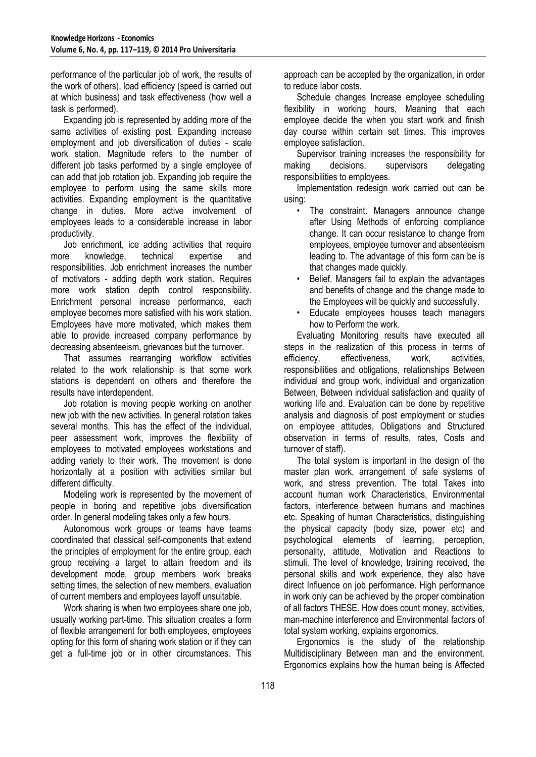performance of the particular job of work, the results of the work of others), load efficiency (speed is carried out at which business) and task effectiveness (how well a task is performed).

Expanding job is represented by adding more of the same activities of existing post. Expanding increase employment and job diversification of duties - scale work station. Magnitude refers to the number of different job tasks performed by a single employee of can add that job rotation job. Expanding job require the employee to perform using the same skills more activities. Expanding employment is the quantitative change in duties. More active involvement of employees leads to a considerable increase in labor productivity.

Job enrichment, ice adding activities that require<br>re knowledge, technical expertise and more knowledge, technical expertise and responsibilities. Job enrichment increases the number of motivators - adding depth work station. Requires more work station depth control responsibility. Enrichment personal increase performance, each employee becomes more satisfied with his work station. Employees have more motivated, which makes them able to provide increased company performance by decreasing absenteeism, grievances but the turnover.

That assumes rearranging workflow activities related to the work relationship is that some work stations is dependent on others and therefore the results have interdependent.

Job rotation is moving people working on another new job with the new activities. In general rotation takes several months. This has the effect of the individual, peer assessment work, improves the flexibility of employees to motivated employees workstations and adding variety to their work. The movement is done horizontally at a position with activities similar but different difficulty.

Modeling work is represented by the movement of people in boring and repetitive jobs diversification order. In general modeling takes only a few hours.

Autonomous work groups or teams have teams coordinated that classical self-components that extend the principles of employment for the entire group, each group receiving a target to attain freedom and its development mode, group members work breaks setting times, the selection of new members, evaluation of current members and employees layoff unsuitable.

Work sharing is when two employees share one job, usually working part-time. This situation creates a form of flexible arrangement for both employees, employees opting for this form of sharing work station or if they can get a full-time job or in other circumstances. This approach can be accepted by the organization, in order to reduce labor costs.

Schedule changes Increase employee scheduling flexibility in working hours, Meaning that each employee decide the when you start work and finish day course within certain set times. This improves employee satisfaction.

Supervisor training increases the responsibility for making decisions, supervisors delegating responsibilities to employees.

Implementation redesign work carried out can be using:

- The constraint. Managers announce change after Using Methods of enforcing compliance change. It can occur resistance to change from employees, employee turnover and absenteeism leading to. The advantage of this form can be is that changes made quickly.
- Belief. Managers fail to explain the advantages and benefits of change and the change made to the Employees will be quickly and successfully.
- Educate employees houses teach managers how to Perform the work.

Evaluating Monitoring results have executed all steps in the realization of this process in terms of efficiency, effectiveness, work, activities, responsibilities and obligations, relationships Between individual and group work, individual and organization Between, Between individual satisfaction and quality of working life and. Evaluation can be done by repetitive analysis and diagnosis of post employment or studies on employee attitudes, Obligations and Structured observation in terms of results, rates, Costs and turnover of staff).

The total system is important in the design of the master plan work, arrangement of safe systems of work, and stress prevention. The total Takes into account human work Characteristics, Environmental factors, interference between humans and machines etc. Speaking of human Characteristics, distinguishing the physical capacity (body size, power etc) and psychological elements of learning, perception, personality, attitude, Motivation and Reactions to stimuli. The level of knowledge, training received, the personal skills and work experience, they also have direct Influence on job performance. High performance in work only can be achieved by the proper combination of all factors THESE. How does count money, activities, man-machine interference and Environmental factors of total system working, explains ergonomics.

Ergonomics is the study of the relationship Multidisciplinary Between man and the environment. Ergonomics explains how the human being is Affected